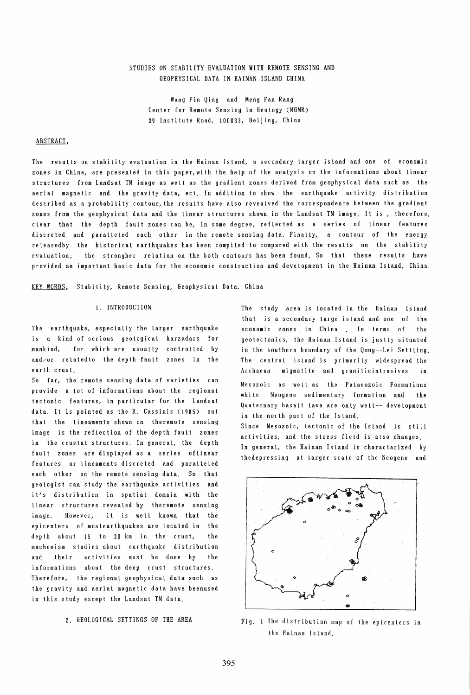# STUDIES ON STABILITY EVALUATION WITH REMOTE SENSING AND GEOPHYSICAL DATA IN HAINAN ISLAND CHINA

Wang Pin Qing and Meng Fan Rang Center for Remote Sensing in Geology (MGMR) 29 Institute Road, 100083, Beijing, China

### ABSTRACT,

The results on stability evaluation in the Hainan Island, a secondary larger island and one of economic zones in China, are presented in this paper,with the help of the analysis on the informations about linear structures from Landsat TM image as well as the gradient zones derived from geophysical data such as the aerial magnetic and the gravity data, ect. In addition to show the earthquake activity distribution described as a probability contour, the results have also revealved the correspondence between the gradient zones from the geophysical data and the linear structures shown in the Landsat TM image. It is , therefore, clear that the depth fault zones can be, in some degree, reflected as a series of linear features discreted and paralleled each other in the remote sensing data. Finally, a contour of the energy releasedby the historical earthquakes has been compiled to compared with the results on the stability evaluation; the strongher reLation on the both contours has been found. So that these results have provided an important basic data for the economic construction and development in the Hainan Island, China.

KEY WORDS, Stability, Remote Sensing, Geophysical Data, China

#### 1. INTRODUCTION

The earthquake, especially the larger earthquake is a kind of serious geological harzadars for mankind, for which are usually controlled by and/or relatedto the depth fault zones in the earth crust.

So far, the remote sensing data of varieties can provide a lot of informations about the regional tectonic features, in particular for the Landsat data. It is pointed as the R. Cassinis (1985) out that the lineaments shown on theremote sensing image is the reflection of the depth fault zones in the crustal structures. In general, the depth fault zones are displayed as a series of linear features or lineaments discreted and paralleled each other on the remote sensing data. So that geologist can study the earthquake activities and it's distribution in spatial domain with the linear structures revealed by theremote sensing image. However, it is well known that the epicenters of mostearthquakes are located in the depth about 15 to 20 km in the crust, the machenism studies about earthquake distribution and their activities must be done by the informations about the deep crust structures. Therefore, the regional geophysical data such as the gravity and aerial magnetic data have beenused in this study except the Landsat TM data.

2. GEOLOGICAL SETTINGS OF THE AREA

The study area is located in the Hainan ISland that is a secondary large island and one of the economic zones in China . In terms of the geotectonics, the Hainan Island is justly situated in the southern boundary of the Qong--Lei Settling. The central island is primarily widespread the Archaean migmatite and graniticintrusives in Mesozoic as well as the Palaeozoic Formations while Neogene sedimentary formation and the

Quaternary basalt lava are only welt-- development in the north part of the Island. Since Mesozoic, tectonic of the Island is still activities, and the stress fieLd is also changes.

In general, the Hainan Island is charactarized by thedepressing at larger scale of the Neogene and



Fig. 1 The distrihution map of the epicenters in the Hainan ISland.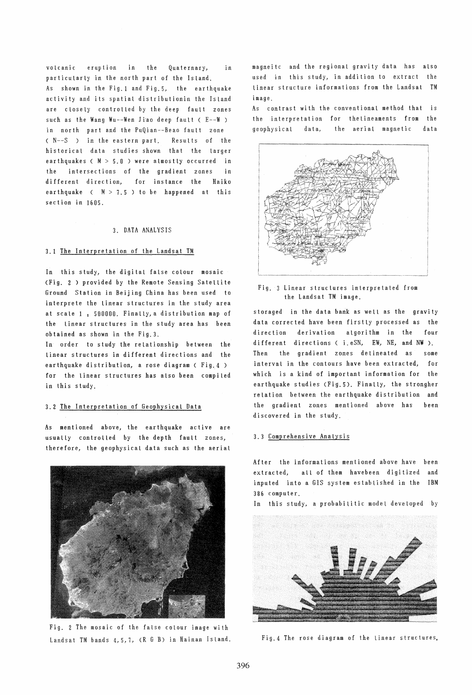vOLcanic eruption in the Quaternary, in particularly in the north part of the IsLand. As shown in the Fig. 1 and Fig.5, the earthquake activity and its spatial distributionin the Island are closely controlled by the deep fault zones such as the Wang Wu--Wen Jiao deep fault  $(E-\mathbb{W})$ in north part and the PuQian--Beao fault zone ( N--S in the eastern part. Results of the historical data studies shown that the larger earthquakes ( $M > 5.0$ ) were almostly occurred in the intersections of the gradient zones in different direction, for instance the Haiko earthquake (  $M > 7.5$  ) to be happened at this section in 1605.

#### 3. DATA ANALYSIS

#### 3.1 The Interpretation of the Landsat TM

In this study, the digital false colour mosaic (Fig. 2 ) provided by the Remote Sensing Satellite Ground Station in Beijing China has been used to interprete the linear structures in the study area at scale 1 : 500000. Finally, a distribution map of the linear structures in the study area has been obtained as shown in the Fig.3.

In order to study the relationship between the linear structures in different directions and the earthquake distribution, a rose diagram ( Fig.4 ) for the linear structures has also been compiled in this study.

## 3.2 The Interpretation of Geophysical Data

As mentioned above, the earthquake active are usually controlled by the depth fault zones, therefore, the geophysical data such as the aerial



Fig. 2 The mosaic of the false colour image with Landsat TM bands 4,5,7, (R G B) in Hainan ISland.

magneilc and the regional gravity data has also used in this study, in addition to extract the linear structure informations from the Landsat TM image.

As contrast with the conventional method that is the interpretation for thelineaments from the geophysical data, the aerial magnetic data



#### Fig. 3 Linear structures interpretated from the Landsat TM image.

storaged in the data bank as well as the gravity data corrected have been firstly processed as the direction derivation algorithm in the four different directions ( i.eSN, EW, NE, and NW ). Then the gradient zones delineated as some interval in the contours have been extracted, for which is a kind of important information for the earthquake studies (Fig.S). Finally, the strongher relation between the earthquake distribution and the gradient zones mentioned above has been discovered in the study.

#### 3.3 Comprehensive Analysis

After the informations mentioned above have been extracted, all of them havebeen digitized and inputed into a GIS system established in the IBM 386 computer.

In this study, a probabilitic model developed by



Fig.4 The rose diagram of the linear structures,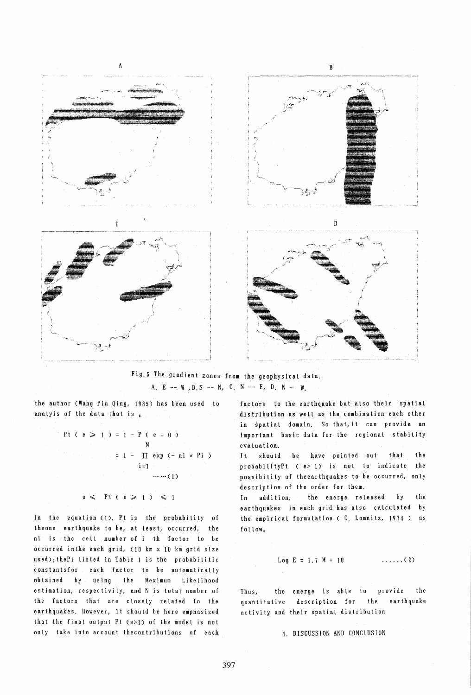

Fig. 5 The gradient zones from the geophysical data. A. E -- W , B. S -- N, C. N -- E, D. N -- W.

the author (Wang Pin Qing, 1985) has been used to analyis of the data that is  $_{1}$ 

Pt (e) = 1 - P (e = 0)

\nN

\n1 = 1 - 
$$
\prod_{i=1}^{N}
$$
 exp (-ni) \* Pi

\ni=1

\n...

 $0 \leqslant$  Pt (  $e \geqslant 1$  )  $\leqslant 1$ 

In the equation (1), Pt is the probability of theone earthquake to be, at least, occurred, the ni is the cell number of i th factor to be occurred inthe each grid, (10 km x 10 km grid size used); thePi listed in Table 1 is the probabilitic constants for each factor to be automatically obtained by using the Meximum Likelihood estimation, respectivily, and N is total number of the factors that are closely related to the earthquakes. However, it should be here emphasized that the final output Pt (e>1) of the model is not only take into account thecontributions of each factors to the earthquake but also their spatial distribution as well as the combination each other in spatial domain. So that, it can provide an important basic data for the regional stability evaluation.

be have pointed out the  $It$ should that probabilityPt (e> 1) is not to indicate the possibility of theearthquakes to be occurred, only description of the order for them.

In addition, the energe released b y the earthquakes in each grid has also calculated by the empirical formulation (C. Lomnitz, 1974) as follow.

Log 
$$
E = 1.7 M + 10
$$
 ... (2)

the energe is able to provide the Thus, quantitative description for the earthquake activity and their spatial distribution

4. DISCUSSION AND CONCLUSION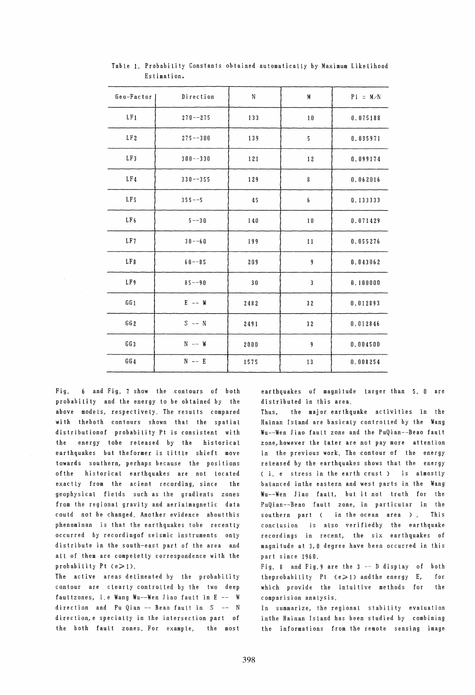| Geo-Factor          | Direction    | N                                  | M               | $Pi = M/N$ |
|---------------------|--------------|------------------------------------|-----------------|------------|
| $\mathop{\rm LF} 1$ | $270 - -275$ | 133                                | 10              | 0.075188   |
| LF <sub>2</sub>     | $275 - -300$ | 139                                | $5\phantom{.0}$ | 0.035971   |
| LF3                 | $300--330$   | 121                                | 12              | 0.099174   |
| LF <sub>4</sub>     | $330 - -355$ | 129                                | 8               | 0.062016   |
| LF <sub>5</sub>     | $355--5$     | 45                                 | 6               | 0.133333   |
| LF <sub>6</sub>     | $5 - -30$    | 140<br>$\hat{\boldsymbol{\gamma}}$ | 10              | 0.071429   |
| LF7                 | $30 - -60$   | 199                                | 11              | 0.055276   |
| LF8                 | $60 - 85$    | 209                                | 9               | 0.043062   |
| LF9                 | $85 - 90$    | 30                                 | $\overline{3}$  | 0.100000   |
| GG 1                | $E$ -- W     | 2482                               | 32              | 0.012893   |
| GG2                 | $S$ -- N     | 2491                               | 32              | 0.012846   |
| GG3                 | $N$ -- $W$   | 2000                               | $\overline{9}$  | 0.004500   |
| GG4                 | $N$ -- E     | 1575                               | 13              | 0.008254   |

Table 1. Probability Constants obtained automatically by Maximum Likelihood Estimation.

Fig. 6 and Fig. 7 show the contours of both probability and the energy to be obtained by the above models, respectively. The results compared with theboth contours shown that the spatial distributionof probability Pt is consistent with the energy tobe released by the historical earthquakes but theformer is little shieft move towards southern, perhaps because the positions of the historical earthquakes are not located exactly from the acient recording, since the geophysical fields such as the gradients zones from the regional gravity and aerialmagnetic data could not be changed. Another evidence aboutthis phenominan is that the earthquakes tobe recently occurred by recordingof seismic instruments only distribute in the south-east part of the area and all of them are compeletly correspondence with the probability Pt  $(e \ge 1)$ .

The active areas delineated by the probability contour are clearly controlled by the two deep faultzones, i.e Wang Wu--Wen Jiao fault in  $E - - W$ direction and Pu Qian  $-$  Beao fault in  $S$   $-$  N direction, e specially in the intersection part of the both fault zones. For example, the most

earthquakes of magnitude larger than 5.0 are distributed in this area.

Thus, the major earthquake activities in the Hainan Island are basicaly controlled by the Wang Wu--Wen Jiao fault zone and the PuQian--Beao fautt zone,however the later are not pay more attention in the previous work. The contour of the energy released by the earthquakes shows that the energy ( i. e stress in the earth crust) is almostly balanced inthe eastern and west parts in the Wang Wu--Wen Jiao fault, but it not truth for the PuQian--Beao fault zone, in particular in the southern part ( in the ocean area ). This conclusion is also verifiedby the earthquake recordings in recent, the six earthquakes of magni tude at 3, 0 degree have been occurred in this part since 1960.

Fig. 8 and Fig.9 are the 3 -- D display of both theprobability Pt  $(e \geq 1)$  and the energy E, which provide the intuitive methods for comparision analysis. for the

In summarize, the regional stability evaluation inthe Hainan Island has been studied by combining the informations from the remote sensing image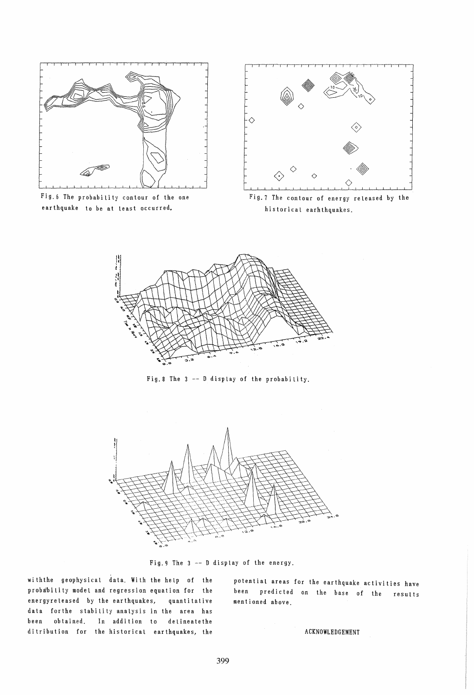

Fig.6 The probability contour of the one ear th quake to be at least occurred.



Fig.7 The contour of energy released by the historical earhthquakes.



Fig.8 The  $3$  -- D display of the probability.



Fig.9 The 3 -- D display of the energy.

with the geophysical data. With the help of the probability model and regression equation for the energyreleased by the earthquakes, quantitative data forthe stability analysis in the area has been obtained. In addition to detineatethe ditribution for the historical earthquakes, the

potential areas for the earthquake activities have been predicted on the base of the results mentioned above.

ACKNOWLEDGEMENT